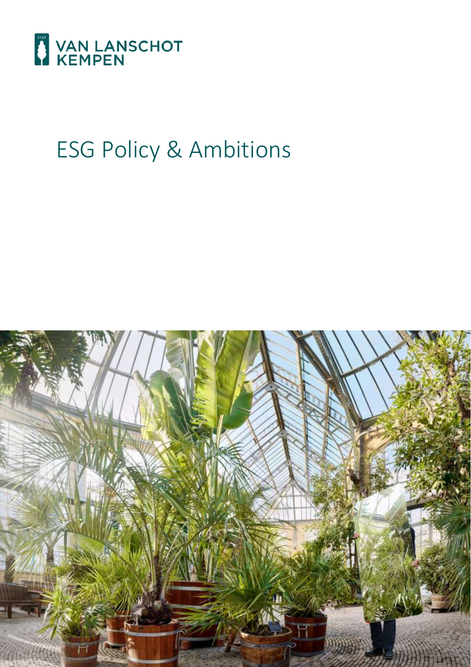

# ESG Policy & Ambitions

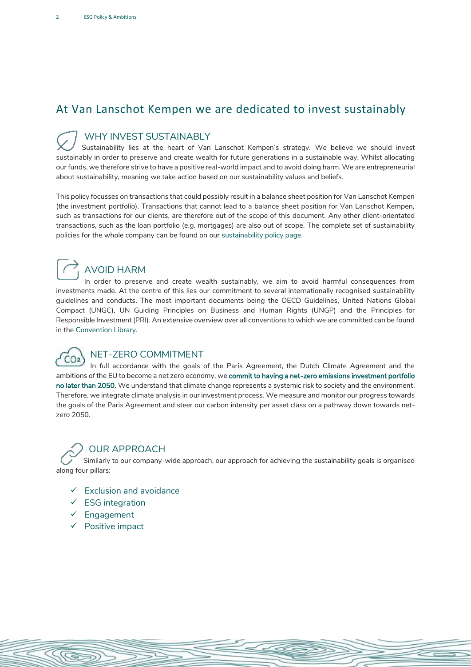### At Van Lanschot Kempen we are dedicated to invest sustainably

#### WHY INVEST SUSTAINABLY

Sustainability lies at the heart of Van Lanschot Kempen's strategy. We believe we should invest sustainably in order to preserve and create wealth for future generations in a sustainable way. Whilst allocating our funds, we therefore strive to have a positive real-world impact and to avoid doing harm. We are entrepreneurial about sustainability, meaning we take action based on our sustainability values and beliefs.

This policy focusses on transactions that could possibly result in a balance sheet position for Van Lanschot Kempen (the investment portfolio). Transactions that cannot lead to a balance sheet position for Van Lanschot Kempen, such as transactions for our clients, are therefore out of the scope of this document. Any other client-orientated transactions, such as the loan portfolio (e.g. mortgages) are also out of scope. The complete set of sustainability policies for the whole company can be found on our [sustainability policy page.](https://www.vanlanschotkempen.com/en/sustainability) 

## $\rightarrow$  AVOID HARM

In order to preserve and create wealth sustainably, we aim to avoid harmful consequences from investments made. At the centre of this lies our commitment to several internationally recognised sustainability guidelines and conducts. The most important documents being the OECD Guidelines, United Nations Global Compact (UNGC), UN Guiding Principles on Business and Human Rights (UNGP) and the Principles for Responsible Investment (PRI). An extensive overview over all conventions to which we are committed can be found in the [Convention Library.](https://www.kempen.com/-/media/Asset-Management/Convention-Library-UK-2019_new-style-final.pdf)



#### NET-ZERO COMMITMENT

In full accordance with the goals of the Paris Agreement, the Dutch Climate Agreement and the ambitions of the EU to become a net zero economy, we commit to having a net-zero emissions investment portfolio no later than 2050. We understand that climate change represents a systemic risk to society and the environment. Therefore, we integrate climate analysis in our investment process. We measure and monitor our progress towards the goals of the Paris Agreement and steer our carbon intensity per asset class on a pathway down towards netzero 2050.

SS

#### OUR APPROACH

Similarly to our company-wide approach, our approach for achieving the sustainability goals is organised along four pillars:

- $\checkmark$  Exclusion and avoidance
- ✓ ESG integration
- ✓ Engagement
- ✓ Positive impact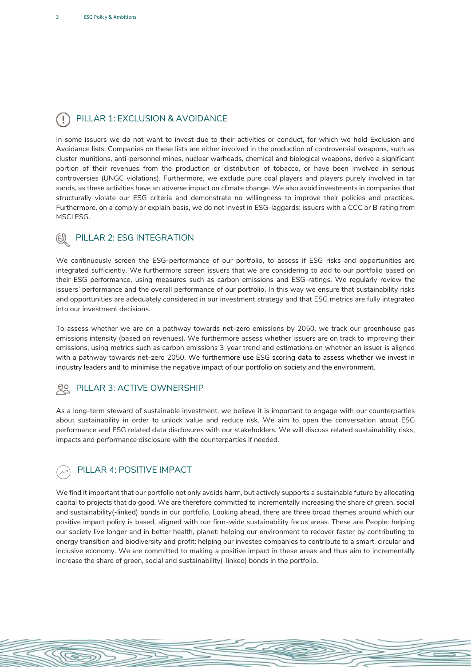#### PILLAR 1: EXCLUSION & AVOIDANCE

In some issuers we do not want to invest due to their activities or conduct, for which we hold Exclusion and Avoidance lists. Companies on these lists are either involved in the production of controversial weapons, such as cluster munitions, anti-personnel mines, nuclear warheads, chemical and biological weapons, derive a significant portion of their revenues from the production or distribution of tobacco, or have been involved in serious controversies (UNGC violations). Furthermore, we exclude pure coal players and players purely involved in tar sands, as these activities have an adverse impact on climate change. We also avoid investments in companies that structurally violate our ESG criteria and demonstrate no willingness to improve their policies and practices. Furthermore, on a comply or explain basis, we do not invest in ESG-laggards: issuers with a CCC or B rating from MSCI ESG.

#### PILLAR 2: ESG INTEGRATION

We continuously screen the ESG-performance of our portfolio, to assess if ESG risks and opportunities are integrated sufficiently. We furthermore screen issuers that we are considering to add to our portfolio based on their ESG performance, using measures such as carbon emissions and ESG-ratings. We regularly review the issuers' performance and the overall performance of our portfolio. In this way we ensure that sustainability risks and opportunities are adequately considered in our investment strategy and that ESG metrics are fully integrated into our investment decisions.

To assess whether we are on a pathway towards net-zero emissions by 2050, we track our greenhouse gas emissions intensity (based on revenues). We furthermore assess whether issuers are on track to improving their emissions, using metrics such as carbon emissions 3-year trend and estimations on whether an issuer is aligned with a pathway towards net-zero 2050. We furthermore use ESG scoring data to assess whether we invest in industry leaders and to minimise the negative impact of our portfolio on society and the environment.

#### PILLAR 3: ACTIVE OWNERSHIP

As a long-term steward of sustainable investment, we believe it is important to engage with our counterparties about sustainability in order to unlock value and reduce risk. We aim to open the conversation about ESG performance and ESG related data disclosures with our stakeholders. We will discuss related sustainability risks, impacts and performance disclosure with the counterparties if needed.

#### PILLAR 4: POSITIVE IMPACT

S

We find it important that our portfolio not only avoids harm, but actively supports a sustainable future by allocating capital to projects that do good. We are therefore committed to incrementally increasing the share of green, social and sustainability(-linked) bonds in our portfolio. Looking ahead, there are three broad themes around which our positive impact policy is based, aligned with our firm-wide sustainability focus areas. These are People: helping our society live longer and in better health, planet: helping our environment to recover faster by contributing to energy transition and biodiversity and profit: helping our investee companies to contribute to a smart, circular and inclusive economy. We are committed to making a positive impact in these areas and thus aim to incrementally increase the share of green, social and sustainability(-linked) bonds in the portfolio.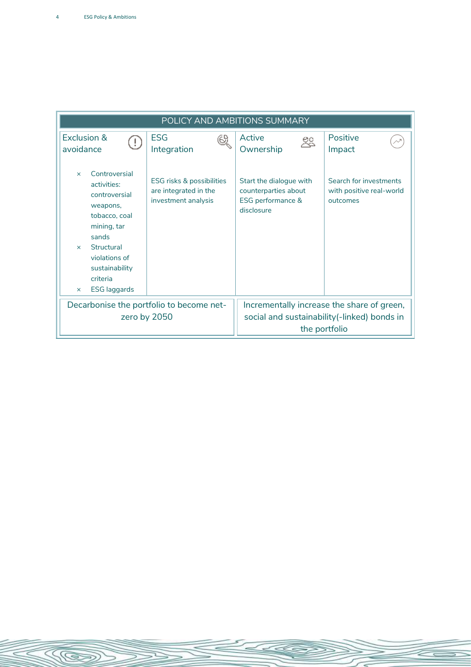<u>KE</u>

| POLICY AND AMBITIONS SUMMARY                                                                                                                                                                                                   |                                                                           |                                                                                    |                                                                |
|--------------------------------------------------------------------------------------------------------------------------------------------------------------------------------------------------------------------------------|---------------------------------------------------------------------------|------------------------------------------------------------------------------------|----------------------------------------------------------------|
| Exclusion &<br>$(\,!)$<br>avoidance                                                                                                                                                                                            | <b>ESG</b><br>61<br>Integration                                           | Active<br>22<br>Ownership                                                          | Positive<br>Impact                                             |
| Controversial<br>$\times$<br>activities:<br>controversial<br>weapons,<br>tobacco, coal<br>mining, tar<br>sands<br>Structural<br>$\mathsf{x}$<br>violations of<br>sustainability<br>criteria<br><b>ESG</b> laggards<br>$\times$ | ESG risks & possibilities<br>are integrated in the<br>investment analysis | Start the dialogue with<br>counterparties about<br>ESG performance &<br>disclosure | Search for investments<br>with positive real-world<br>outcomes |
| Decarbonise the portfolio to become net-                                                                                                                                                                                       |                                                                           | Incrementally increase the share of green,                                         |                                                                |
| zero by 2050                                                                                                                                                                                                                   |                                                                           | social and sustainability(-linked) bonds in<br>the portfolio                       |                                                                |

 $\epsilon$